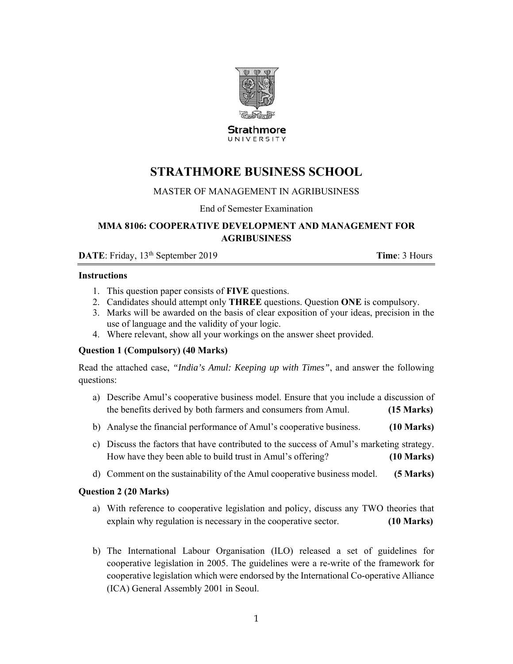

**Strathmore** UNIVERSITY

# **STRATHMORE BUSINESS SCHOOL**

# MASTER OF MANAGEMENT IN AGRIBUSINESS

End of Semester Examination

# **MMA 8106: COOPERATIVE DEVELOPMENT AND MANAGEMENT FOR AGRIBUSINESS**

**DATE**: Friday, 13<sup>th</sup> September 2019 **Time**: 3 Hours

## **Instructions**

- 1. This question paper consists of **FIVE** questions.
- 2. Candidates should attempt only **THREE** questions. Question **ONE** is compulsory.
- 3. Marks will be awarded on the basis of clear exposition of your ideas, precision in the use of language and the validity of your logic.
- 4. Where relevant, show all your workings on the answer sheet provided.

# **Question 1 (Compulsory) (40 Marks)**

Read the attached case, *"India's Amul: Keeping up with Times"*, and answer the following questions:

- a) Describe Amul's cooperative business model. Ensure that you include a discussion of the benefits derived by both farmers and consumers from Amul. **(15 Marks)**
- b) Analyse the financial performance of Amul's cooperative business. **(10 Marks)**
- c) Discuss the factors that have contributed to the success of Amul's marketing strategy. How have they been able to build trust in Amul's offering? **(10 Marks)**
- d) Comment on the sustainability of the Amul cooperative business model. **(5 Marks)**

## **Question 2 (20 Marks)**

- a) With reference to cooperative legislation and policy, discuss any TWO theories that explain why regulation is necessary in the cooperative sector. **(10 Marks)**
- b) The International Labour Organisation (ILO) released a set of guidelines for cooperative legislation in 2005. The guidelines were a re-write of the framework for cooperative legislation which were endorsed by the International Co-operative Alliance (ICA) General Assembly 2001 in Seoul.